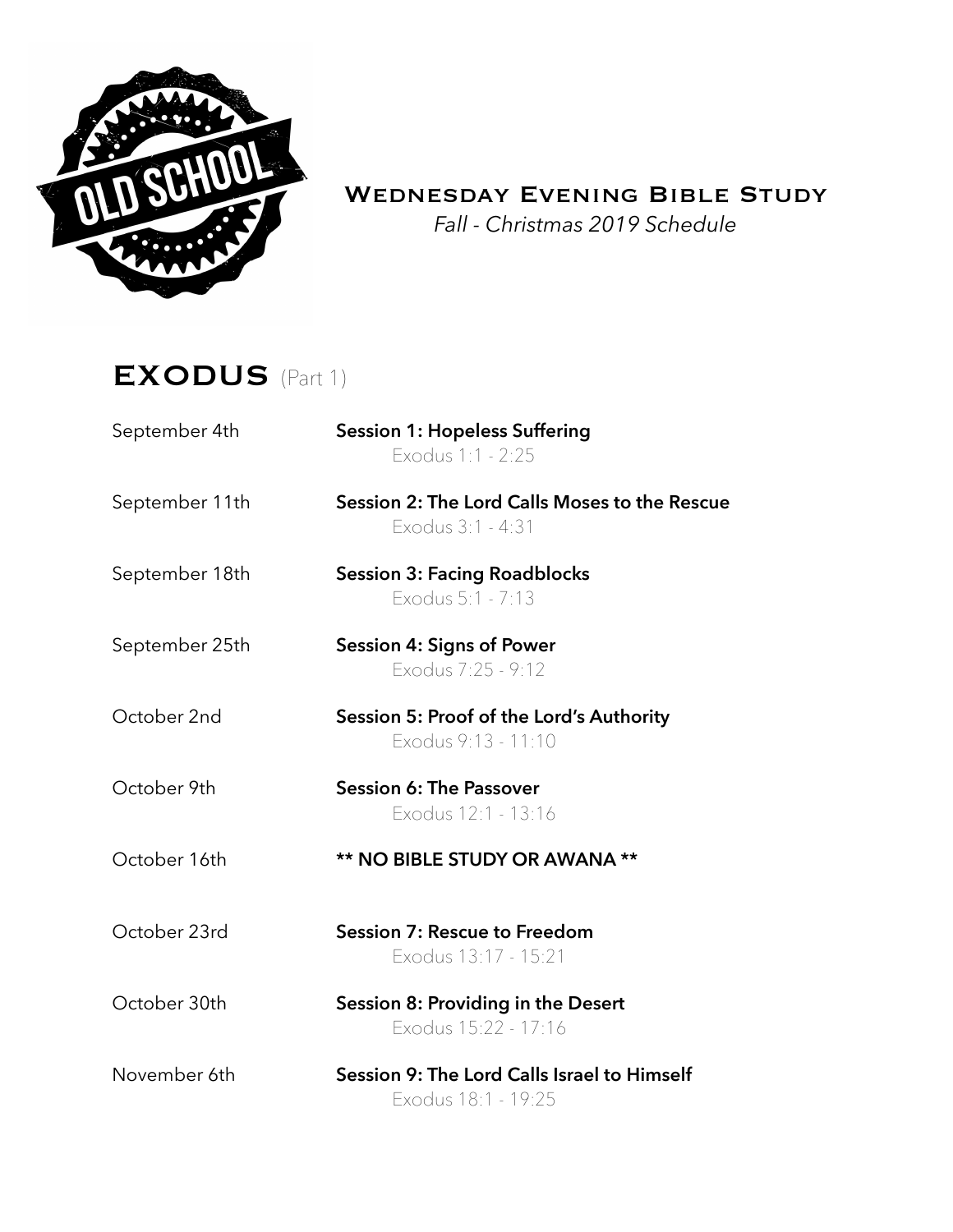

## WEDNESDAY EVENING BIBLE STUDY

*Fall - Christmas 2019 Schedule* 

## EXODUS(Part 1)

| September 4th | <b>Session 1: Hopeless Suffering</b> |
|---------------|--------------------------------------|
|               | Exodus 1:1 - 2:25                    |

September 11th **Session 2: The Lord Calls Moses to the Rescue** Exodus 3:1 - 4:31

- September 18th **Session 3: Facing Roadblocks** Exodus 5:1 - 7:13
- September 25th **Session 4: Signs of Power** Exodus 7:25 - 9:12
- October 2nd **Session 5: Proof of the Lord's Authority**  Exodus 9:13 - 11:10
- October 9th **Session 6: The Passover**  Exodus 12:1 - 13:16
- October 16th **\*\* NO BIBLE STUDY OR AWANA \*\***
- October 23rd **Session 7: Rescue to Freedom**  Exodus 13:17 - 15:21
- October 30th **Session 8: Providing in the Desert** Exodus 15:22 - 17:16
- November 6th **Session 9: The Lord Calls Israel to Himself**  Exodus 18:1 - 19:25